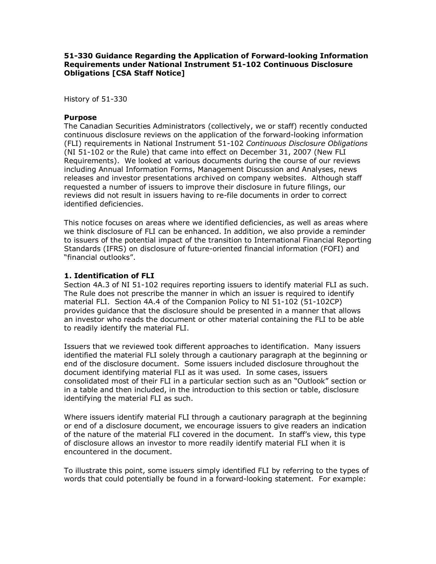## 51-330 Guidance Regarding the Application of Forward-looking Information Requirements under National Instrument 51-102 Continuous Disclosure Obligations [CSA Staff Notice]

History of 51-330

#### Purpose

The Canadian Securities Administrators (collectively, we or staff) recently conducted continuous disclosure reviews on the application of the forward-looking information (FLI) requirements in National Instrument 51-102 Continuous Disclosure Obligations (NI 51-102 or the Rule) that came into effect on December 31, 2007 (New FLI Requirements). We looked at various documents during the course of our reviews including Annual Information Forms, Management Discussion and Analyses, news releases and investor presentations archived on company websites. Although staff requested a number of issuers to improve their disclosure in future filings, our reviews did not result in issuers having to re-file documents in order to correct identified deficiencies.

This notice focuses on areas where we identified deficiencies, as well as areas where we think disclosure of FLI can be enhanced. In addition, we also provide a reminder to issuers of the potential impact of the transition to International Financial Reporting Standards (IFRS) on disclosure of future-oriented financial information (FOFI) and "financial outlooks".

## 1. Identification of FLI

Section 4A.3 of NI 51-102 requires reporting issuers to identify material FLI as such. The Rule does not prescribe the manner in which an issuer is required to identify material FLI. Section 4A.4 of the Companion Policy to NI 51-102 (51-102CP) provides guidance that the disclosure should be presented in a manner that allows an investor who reads the document or other material containing the FLI to be able to readily identify the material FLI.

Issuers that we reviewed took different approaches to identification. Many issuers identified the material FLI solely through a cautionary paragraph at the beginning or end of the disclosure document. Some issuers included disclosure throughout the document identifying material FLI as it was used. In some cases, issuers consolidated most of their FLI in a particular section such as an "Outlook" section or in a table and then included, in the introduction to this section or table, disclosure identifying the material FLI as such.

Where issuers identify material FLI through a cautionary paragraph at the beginning or end of a disclosure document, we encourage issuers to give readers an indication of the nature of the material FLI covered in the document. In staff's view, this type of disclosure allows an investor to more readily identify material FLI when it is encountered in the document.

To illustrate this point, some issuers simply identified FLI by referring to the types of words that could potentially be found in a forward-looking statement. For example: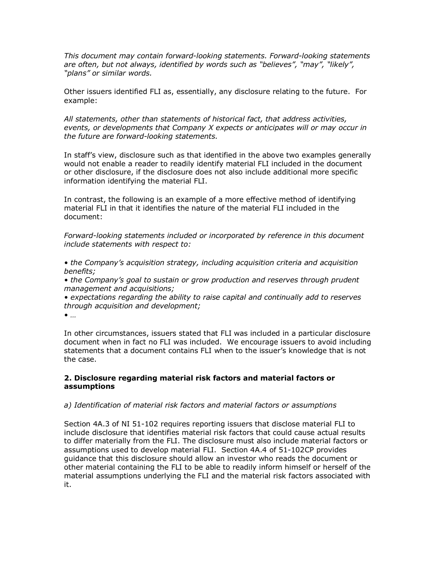This document may contain forward-looking statements. Forward-looking statements are often, but not always, identified by words such as "believes", "may", "likely", "plans" or similar words.

Other issuers identified FLI as, essentially, any disclosure relating to the future. For example:

All statements, other than statements of historical fact, that address activities, events, or developments that Company X expects or anticipates will or may occur in the future are forward-looking statements.

In staff's view, disclosure such as that identified in the above two examples generally would not enable a reader to readily identify material FLI included in the document or other disclosure, if the disclosure does not also include additional more specific information identifying the material FLI.

In contrast, the following is an example of a more effective method of identifying material FLI in that it identifies the nature of the material FLI included in the document:

Forward-looking statements included or incorporated by reference in this document include statements with respect to:

• the Company's acquisition strategy, including acquisition criteria and acquisition benefits;

• the Company's goal to sustain or grow production and reserves through prudent management and acquisitions;

• expectations regarding the ability to raise capital and continually add to reserves through acquisition and development;

 $\bullet$  …

In other circumstances, issuers stated that FLI was included in a particular disclosure document when in fact no FLI was included. We encourage issuers to avoid including statements that a document contains FLI when to the issuer's knowledge that is not the case.

## 2. Disclosure regarding material risk factors and material factors or assumptions

## a) Identification of material risk factors and material factors or assumptions

Section 4A.3 of NI 51-102 requires reporting issuers that disclose material FLI to include disclosure that identifies material risk factors that could cause actual results to differ materially from the FLI. The disclosure must also include material factors or assumptions used to develop material FLI. Section 4A.4 of 51-102CP provides guidance that this disclosure should allow an investor who reads the document or other material containing the FLI to be able to readily inform himself or herself of the material assumptions underlying the FLI and the material risk factors associated with it.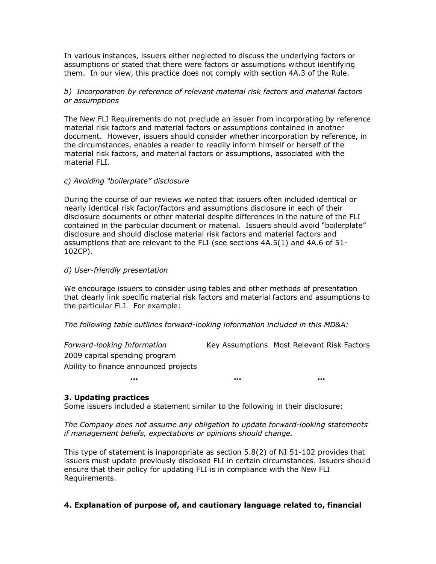In various instances, issuers either neglected to discuss the underlying factors or assumptions or stated that there were factors or assumptions without identifying them. In our view, this practice does not comply with section 4A.3 of the Rule.

## b) Incorporation by reference of relevant material risk factors and material factors or assumptions

The New FLI Requirements do not preclude an issuer from incorporating by reference material risk factors and material factors or assumptions contained in another document. However, issuers should consider whether incorporation by reference, in the circumstances, enables a reader to readily inform himself or herself of the material risk factors, and material factors or assumptions, associated with the material FLI.

## c) Avoiding "boilerplate" disclosure

During the course of our reviews we noted that issuers often included identical or nearly identical risk factor/factors and assumptions disclosure in each of their disclosure documents or other material despite differences in the nature of the FLI contained in the particular document or material. Issuers should avoid "boilerplate" disclosure and should disclose material risk factors and material factors and assumptions that are relevant to the FLI (see sections 4A.5(1) and 4A.6 of 51- 102CP).

## d) User-friendly presentation

We encourage issuers to consider using tables and other methods of presentation that clearly link specific material risk factors and material factors and assumptions to the particular FLI. For example:

## The following table outlines forward-looking information included in this MD&A:

Forward-looking Information Key Assumptions Most Relevant Risk Factors 2009 capital spending program Ability to finance announced projects

# ... ... ...

## 3. Updating practices

Some issuers included a statement similar to the following in their disclosure:

The Company does not assume any obligation to update forward-looking statements if management beliefs, expectations or opinions should change.

This type of statement is inappropriate as section 5.8(2) of NI 51-102 provides that issuers must update previously disclosed FLI in certain circumstances. Issuers should ensure that their policy for updating FLI is in compliance with the New FLI Requirements.

## 4. Explanation of purpose of, and cautionary language related to, financial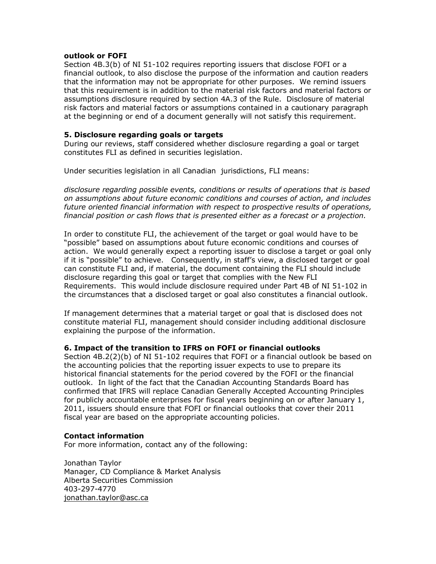#### outlook or FOFI

Section 4B.3(b) of NI 51-102 requires reporting issuers that disclose FOFI or a financial outlook, to also disclose the purpose of the information and caution readers that the information may not be appropriate for other purposes. We remind issuers that this requirement is in addition to the material risk factors and material factors or assumptions disclosure required by section 4A.3 of the Rule. Disclosure of material risk factors and material factors or assumptions contained in a cautionary paragraph at the beginning or end of a document generally will not satisfy this requirement.

## 5. Disclosure regarding goals or targets

During our reviews, staff considered whether disclosure regarding a goal or target constitutes FLI as defined in securities legislation.

Under securities legislation in all Canadian jurisdictions, FLI means:

disclosure regarding possible events, conditions or results of operations that is based on assumptions about future economic conditions and courses of action, and includes future oriented financial information with respect to prospective results of operations, financial position or cash flows that is presented either as a forecast or a projection.

In order to constitute FLI, the achievement of the target or goal would have to be "possible" based on assumptions about future economic conditions and courses of action. We would generally expect a reporting issuer to disclose a target or goal only if it is "possible" to achieve. Consequently, in staff's view, a disclosed target or goal can constitute FLI and, if material, the document containing the FLI should include disclosure regarding this goal or target that complies with the New FLI Requirements. This would include disclosure required under Part 4B of NI 51-102 in the circumstances that a disclosed target or goal also constitutes a financial outlook.

If management determines that a material target or goal that is disclosed does not constitute material FLI, management should consider including additional disclosure explaining the purpose of the information.

## 6. Impact of the transition to IFRS on FOFI or financial outlooks

Section 4B.2(2)(b) of NI 51-102 requires that FOFI or a financial outlook be based on the accounting policies that the reporting issuer expects to use to prepare its historical financial statements for the period covered by the FOFI or the financial outlook. In light of the fact that the Canadian Accounting Standards Board has confirmed that IFRS will replace Canadian Generally Accepted Accounting Principles for publicly accountable enterprises for fiscal years beginning on or after January 1, 2011, issuers should ensure that FOFI or financial outlooks that cover their 2011 fiscal year are based on the appropriate accounting policies.

#### Contact information

For more information, contact any of the following:

Jonathan Taylor Manager, CD Compliance & Market Analysis Alberta Securities Commission 403-297-4770 [jonathan.taylor@asc.ca](mailto:jonathan.taylor@asc.ca)